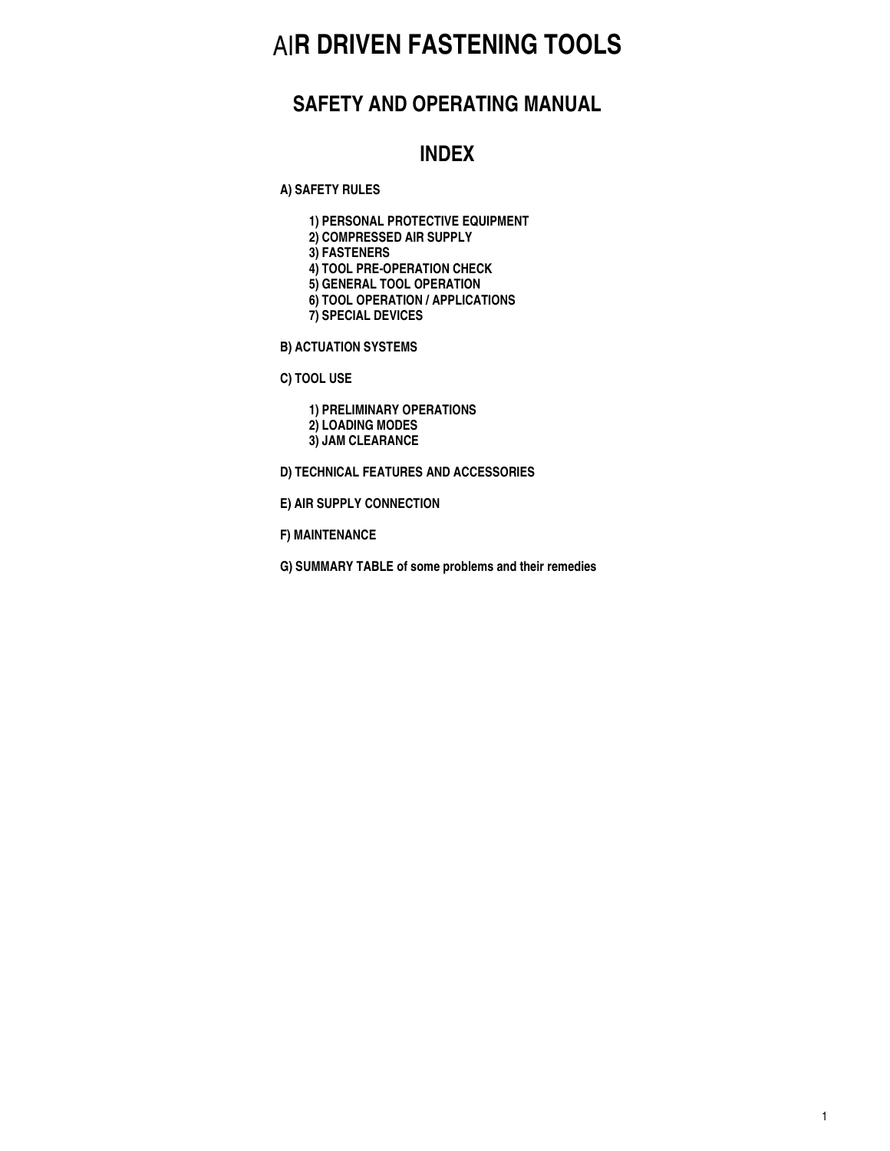# AI**R DRIVEN FASTENING TOOLS**

### **SAFETY AND OPERATING MANUAL**

### **INDEX**

**A) SAFETY RULES**

- **1) PERSONAL PROTECTIVE EQUIPMENT**
- **2) COMPRESSED AIR SUPPLY**
- **3) FASTENERS**
- **4) TOOL PRE-OPERATION CHECK**
- **5) GENERAL TOOL OPERATION**
- **6) TOOL OPERATION / APPLICATIONS**
- **7) SPECIAL DEVICES**
- **B) ACTUATION SYSTEMS**
- **C) TOOL USE**

**1) PRELIMINARY OPERATIONS 2) LOADING MODES 3) JAM CLEARANCE**

- **D) TECHNICAL FEATURES AND ACCESSORIES**
- **E) AIR SUPPLY CONNECTION**
- **F) MAINTENANCE**
- **G) SUMMARY TABLE of some problems and their remedies**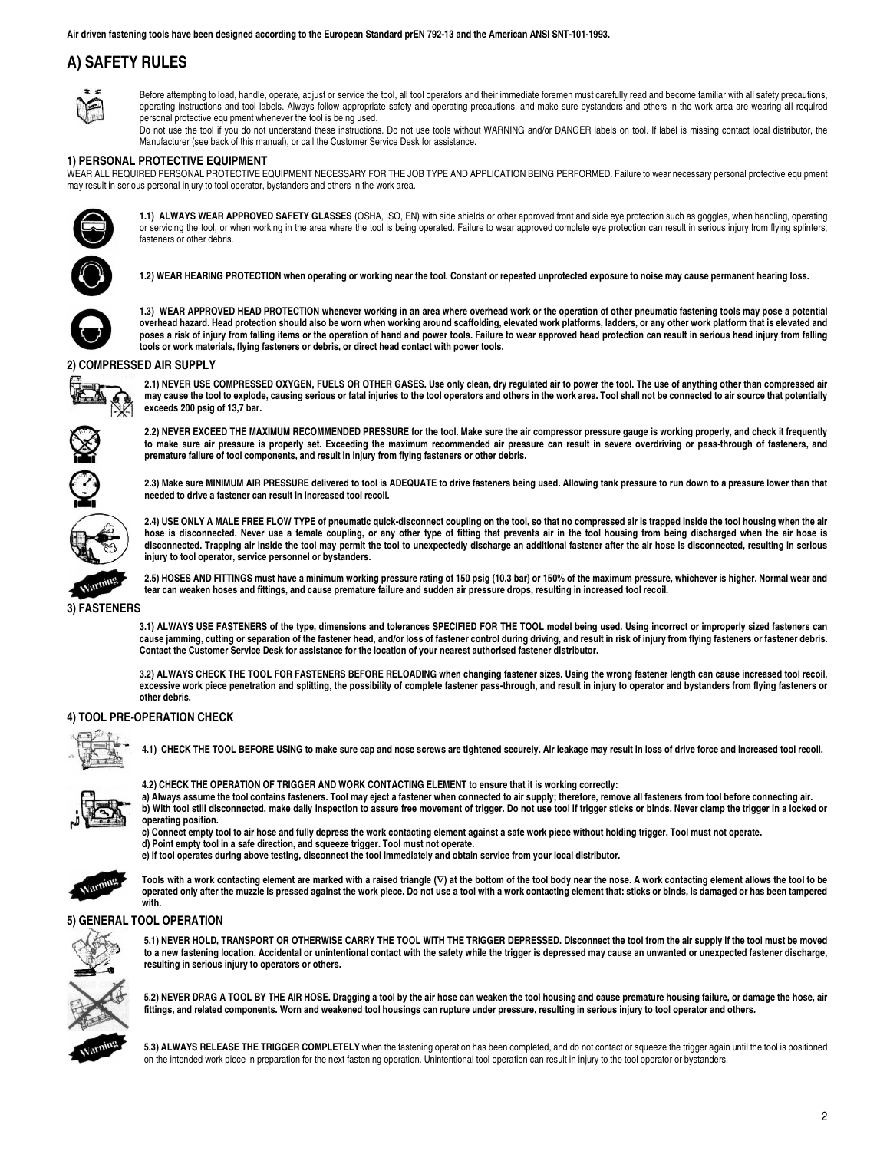### **A) SAFETY RULES**



Before attempting to load, handle, operate, adjust or service the tool, all tool operators and their immediate foremen must carefully read and become familiar with all safety precautions, operating instructions and tool labels. Always follow appropriate safety and operating precautions, and make sure bystanders and others in the work area are wearing all required personal protective equipment whenever the tool is being used.

Do not use the tool if you do not understand these instructions. Do not use tools without WARNING and/or DANGER labels on tool. If label is missing contact local distributor, the Manufacturer (see back of this manual), or call the Customer Service Desk for assistance.

#### **1) PERSONAL PROTECTIVE EQUIPMENT**

WEAR ALL REQUIRED PERSONAL PROTECTIVE EQUIPMENT NECESSARY FOR THE JOB TYPE AND APPLICATION BEING PERFORMED. Failure to wear necessary personal protective equipment may result in serious personal injury to tool operator, bystanders and others in the work area.



**1.1) ALWAYS WEAR APPROVED SAFETY GLASSES** (OSHA, ISO, EN) with side shields or other approved front and side eye protection such as goggles, when handling, operating or servicing the tool, or when working in the area where the tool is being operated. Failure to wear approved complete eye protection can result in serious injury from flying splinters, fasteners or other debris.

**1.2) WEAR HEARING PROTECTION when operating or working near the tool. Constant or repeated unprotected exposure to noise may cause permanent hearing loss.**



**1.3) WEAR APPROVED HEAD PROTECTION whenever working in an area where overhead work or the operation of other pneumatic fastening tools may pose a potential overhead hazard. Head protection should also be worn when working around scaffolding, elevated work platforms, ladders, or any other work platform that is elevated and poses a risk of injury from falling items or the operation of hand and power tools. Failure to wear approved head protection can result in serious head injury from falling tools or work materials, flying fasteners or debris, or direct head contact with power tools.**

#### **2) COMPRESSED AIR SUPPLY**



**2.1) NEVER USE COMPRESSED OXYGEN, FUELS OR OTHER GASES. Use only clean, dry regulated air to power the tool. The use of anything other than compressed air may cause the tool to explode, causing serious or fatal injuries to the tool operators and others in the work area. Tool shall not be connected to air source that potentially exceeds 200 psig of 13,7 bar.**



**2.2) NEVER EXCEED THE MAXIMUM RECOMMENDED PRESSURE for the tool. Make sure the air compressor pressure gauge is working properly, and check it frequently to make sure air pressure is properly set. Exceeding the maximum recommended air pressure can result in severe overdriving or pass-through of fasteners, and premature failure of tool components, and result in injury from flying fasteners or other debris.**



**2.3) Make sure MINIMUM AIR PRESSURE delivered to tool is ADEQUATE to drive fasteners being used. Allowing tank pressure to run down to a pressure lower than that needed to drive a fastener can result in increased tool recoil.**



**2.4) USE ONLY A MALE FREE FLOW TYPE of pneumatic quick-disconnect coupling on the tool, so that no compressed air is trapped inside the tool housing when the air hose is disconnected. Never use a female coupling, or any other type of fitting that prevents air in the tool housing from being discharged when the air hose is disconnected. Trapping air inside the tool may permit the tool to unexpectedly discharge an additional fastener after the air hose is disconnected, resulting in serious injury to tool operator, service personnel or bystanders.**

**2.5) HOSES AND FITTINGS must have a minimum working pressure rating of 150 psig (10.3 bar) or 150% of the maximum pressure, whichever is higher. Normal wear and tear can weaken hoses and fittings, and cause premature failure and sudden air pressure drops, resulting in increased tool recoil.**

#### **3) FASTENERS**

**3.1) ALWAYS USE FASTENERS of the type, dimensions and tolerances SPECIFIED FOR THE TOOL model being used. Using incorrect or improperly sized fasteners can cause jamming, cutting or separation of the fastener head, and/or loss of fastener control during driving, and result in risk of injury from flying fasteners or fastener debris. Contact the Customer Service Desk for assistance for the location of your nearest authorised fastener distributor.** 

**3.2) ALWAYS CHECK THE TOOL FOR FASTENERS BEFORE RELOADING when changing fastener sizes. Using the wrong fastener length can cause increased tool recoil, excessive work piece penetration and splitting, the possibility of complete fastener pass-through, and result in injury to operator and bystanders from flying fasteners or other debris.**

#### **4) TOOL PRE-OPERATION CHECK**



**4.1) CHECK THE TOOL BEFORE USING to make sure cap and nose screws are tightened securely. Air leakage may result in loss of drive force and increased tool recoil.**



**4.2) CHECK THE OPERATION OF TRIGGER AND WORK CONTACTING ELEMENT to ensure that it is working correctly:** 

**a) Always assume the tool contains fasteners. Tool may eject a fastener when connected to air supply; therefore, remove all fasteners from tool before connecting air. b) With tool still disconnected, make daily inspection to assure free movement of trigger. Do not use tool if trigger sticks or binds. Never clamp the trigger in a locked or operating position.**

**c) Connect empty tool to air hose and fully depress the work contacting element against a safe work piece without holding trigger. Tool must not operate.**

**d) Point empty tool in a safe direction, and squeeze trigger. Tool must not operate. e) If tool operates during above testing, disconnect the tool immediately and obtain service from your local distributor.** 



Tools with a work contacting element are marked with a raised triangle (∇) at the bottom of the tool body near the nose. A work contacting element allows the tool to be **operated only after the muzzle is pressed against the work piece. Do not use a tool with a work contacting element that: sticks or binds, is damaged or has been tampered with.** 

#### **5) GENERAL TOOL OPERATION**



**5.1) NEVER HOLD, TRANSPORT OR OTHERWISE CARRY THE TOOL WITH THE TRIGGER DEPRESSED. Disconnect the tool from the air supply if the tool must be moved to a new fastening location. Accidental or unintentional contact with the safety while the trigger is depressed may cause an unwanted or unexpected fastener discharge, resulting in serious injury to operators or others.**

**5.2) NEVER DRAG A TOOL BY THE AIR HOSE. Dragging a tool by the air hose can weaken the tool housing and cause premature housing failure, or damage the hose, air fittings, and related components. Worn and weakened tool housings can rupture under pressure, resulting in serious injury to tool operator and others.**

**5.3) ALWAYS RELEASE THE TRIGGER COMPLETELY** when the fastening operation has been completed, and do not contact or squeeze the trigger again until the tool is positioned on the intended work piece in preparation for the next fastening operation. Unintentional tool operation can result in injury to the tool operator or bystanders.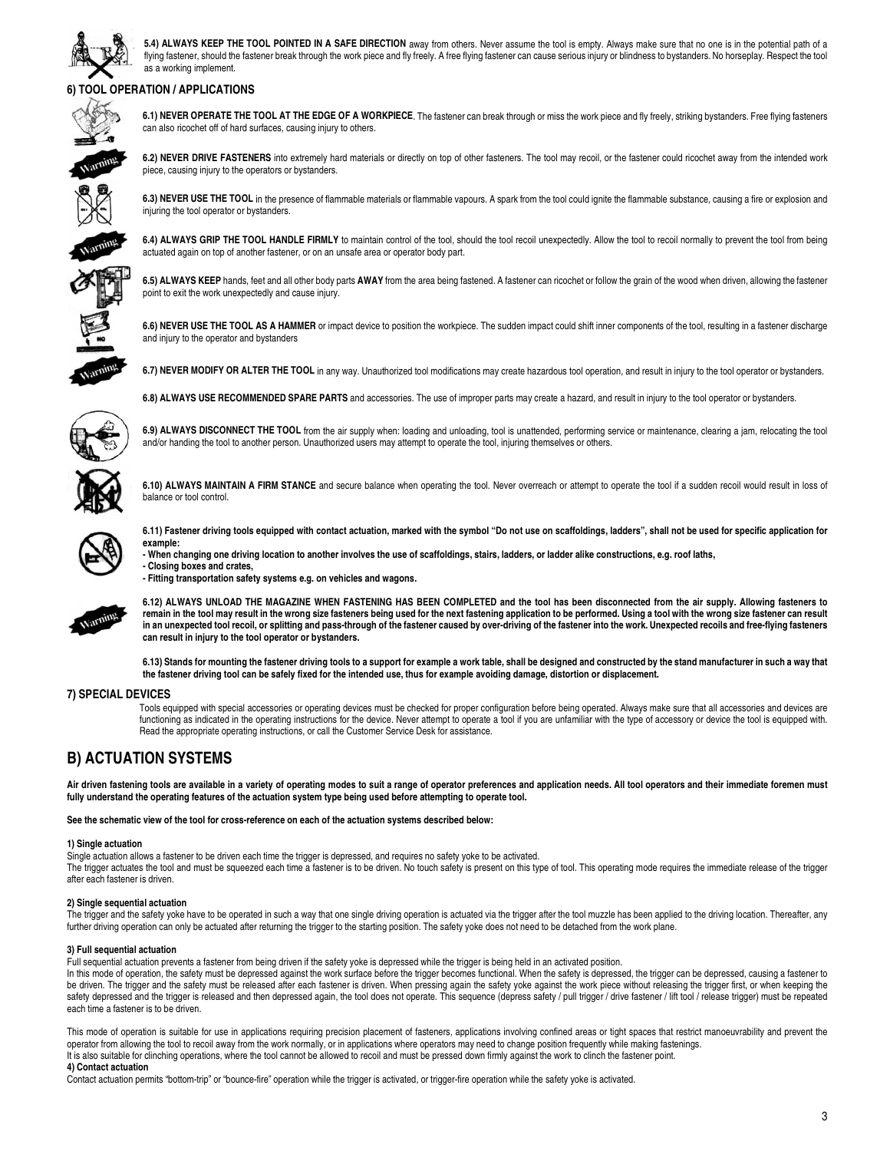

**5.4) ALWAYS KEEP THE TOOL POINTED IN A SAFE DIRECTION** away from others. Never assume the tool is empty. Always make sure that no one is in the potential path of a flying fastener, should the fastener break through the work piece and fly freely. A free flying fastener can cause serious injury or blindness to bystanders. No horseplay. Respect the tool as a working implement.

### **6) TOOL OPERATION / APPLICATIONS**



**6.1) NEVER OPERATE THE TOOL AT THE EDGE OF A WORKPIECE**. The fastener can break through or miss the work piece and fly freely, striking bystanders. Free flying fasteners can also ricochet off of hard surfaces, causing injury to others.

**6.2) NEVER DRIVE FASTENERS** into extremely hard materials or directly on top of other fasteners. The tool may recoil, or the fastener could ricochet away from the intended work piece, causing injury to the operators or bystanders.



6.3) NEVER USE THE TOOL in the presence of flammable materials or flammable vapours. A spark from the tool could ignite the flammable substance, causing a fire or explosion and injuring the tool operator or bystanders.



**6.4) ALWAYS GRIP THE TOOL HANDLE FIRMLY** to maintain control of the tool, should the tool recoil unexpectedly. Allow the tool to recoil normally to prevent the tool from being actuated again on top of another fastener, or on an unsafe area or operator body part.

**6.5) ALWAYS KEEP** hands, feet and all other body parts **AWAY** from the area being fastened. A fastener can ricochet or follow the grain of the wood when driven, allowing the fastener

**6.6) NEVER USE THE TOOL AS A HAMMER** or impact device to position the workpiece. The sudden impact could shift inner components of the tool, resulting in a fastener discharge and injury to the operator and bystanders



6.7) NEVER MODIFY OR ALTER THE TOOL in any way. Unauthorized tool modifications may create hazardous tool operation, and result in injury to the tool operator or bystanders.



**6.8) ALWAYS USE RECOMMENDED SPARE PARTS** and accessories. The use of improper parts may create a hazard, and result in injury to the tool operator or bystanders.



**6.9) ALWAYS DISCONNECT THE TOOL** from the air supply when: loading and unloading, tool is unattended, performing service or maintenance, clearing a jam, relocating the tool and/or handing the tool to another person. Unauthorized users may attempt to operate the tool, injuring themselves or others.



**6.10) ALWAYS MAINTAIN A FIRM STANCE** and secure balance when operating the tool. Never overreach or attempt to operate the tool if a sudden recoil would result in loss of balance or tool control.



**6.11) Fastener driving tools equipped with contact actuation, marked with the symbol "Do not use on scaffoldings, ladders", shall not be used for specific application for example:**

**- When changing one driving location to another involves the use of scaffoldings, stairs, ladders, or ladder alike constructions, e.g. roof laths, - Closing boxes and crates,**

**- Fitting transportation safety systems e.g. on vehicles and wagons.**

point to exit the work unexpectedly and cause injury.



**6.12) ALWAYS UNLOAD THE MAGAZINE WHEN FASTENING HAS BEEN COMPLETED and the tool has been disconnected from the air supply. Allowing fasteners to remain in the tool may result in the wrong size fasteners being used for the next fastening application to be performed. Using a tool with the wrong size fastener can result in an unexpected tool recoil, or splitting and pass-through of the fastener caused by over-driving of the fastener into the work. Unexpected recoils and free-flying fasteners can result in injury to the tool operator or bystanders.**

**6.13) Stands for mounting the fastener driving tools to a support for example a work table, shall be designed and constructed by the stand manufacturer in such a way that the fastener driving tool can be safely fixed for the intended use, thus for example avoiding damage, distortion or displacement.**

#### **7) SPECIAL DEVICES**

Tools equipped with special accessories or operating devices must be checked for proper configuration before being operated. Always make sure that all accessories and devices are functioning as indicated in the operating instructions for the device. Never attempt to operate a tool if you are unfamiliar with the type of accessory or device the tool is equipped with. Read the appropriate operating instructions, or call the Customer Service Desk for assistance.

### **B) ACTUATION SYSTEMS**

**Air driven fastening tools are available in a variety of operating modes to suit a range of operator preferences and application needs. All tool operators and their immediate foremen must fully understand the operating features of the actuation system type being used before attempting to operate tool.**

**See the schematic view of the tool for cross-reference on each of the actuation systems described below:**

#### **1) Single actuation**

Single actuation allows a fastener to be driven each time the trigger is depressed, and requires no safety yoke to be activated.

The trigger actuates the tool and must be squeezed each time a fastener is to be driven. No touch safety is present on this type of tool. This operating mode requires the immediate release of the trigger after each fastener is driven.

#### **2) Single sequential actuation**

The trigger and the safety yoke have to be operated in such a way that one single driving operation is actuated via the trigger after the tool muzzle has been applied to the driving location. Thereafter, any further driving operation can only be actuated after returning the trigger to the starting position. The safety yoke does not need to be detached from the work plane.

#### **3) Full sequential actuation**

Full sequential actuation prevents a fastener from being driven if the safety yoke is depressed while the trigger is being held in an activated position.

In this mode of operation, the safety must be depressed against the work surface before the trigger becomes functional. When the safety is depressed, the trigger can be depressed, causing a fastener to be driven. The trigger and the safety must be released after each fastener is driven. When pressing again the safety yoke against the work piece without releasing the trigger first, or when keeping the safety depressed and the trigger is released and then depressed again, the tool does not operate. This sequence (depress safety / pull trigger / drive fastener / lift tool / release trigger) must be repeated each time a fastener is to be driven.

This mode of operation is suitable for use in applications requiring precision placement of fasteners, applications involving confined areas or tight spaces that restrict manoeuvrability and prevent the operator from allowing the tool to recoil away from the work normally, or in applications where operators may need to change position frequently while making fastenings. It is also suitable for clinching operations, where the tool cannot be allowed to recoil and must be pressed down firmly against the work to clinch the fastener point.

**4) Contact actuation**

Contact actuation permits "bottom-trip" or "bounce-fire" operation while the trigger is activated, or trigger-fire operation while the safety yoke is activated.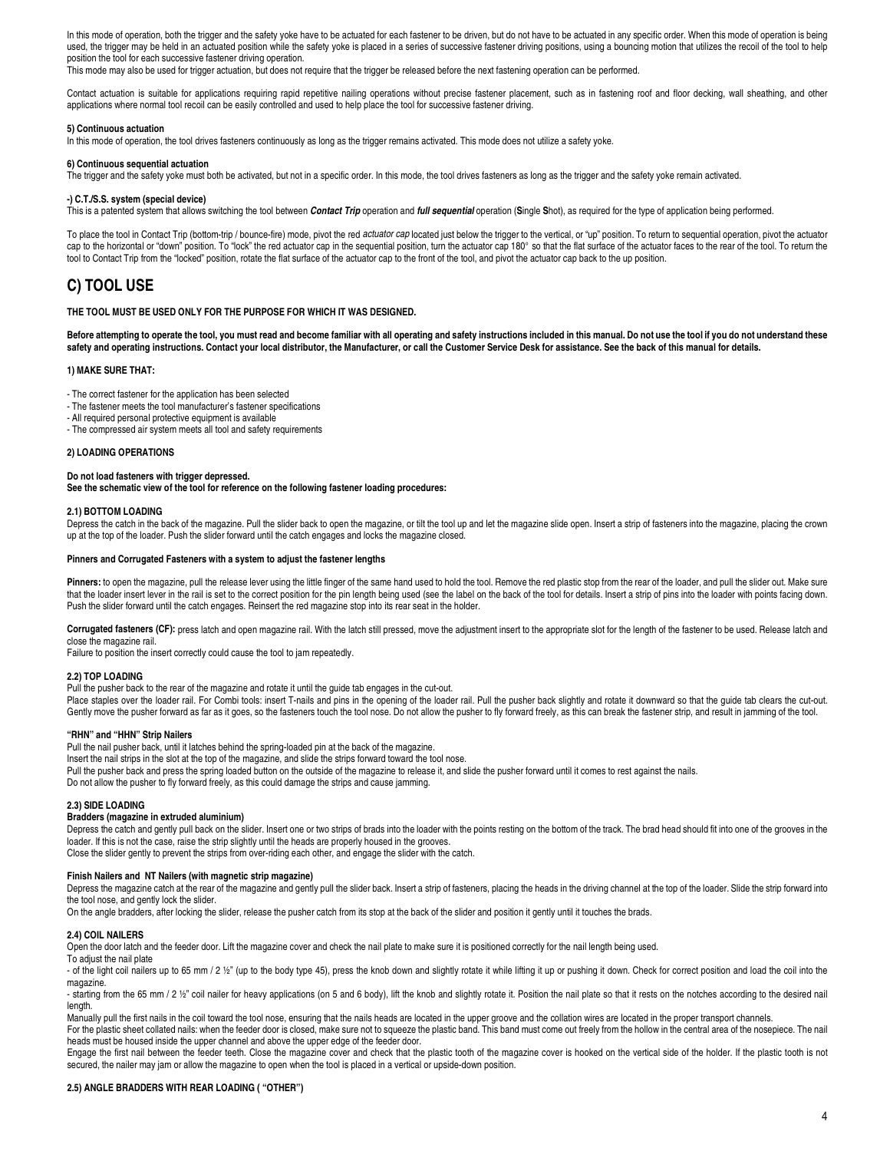In this mode of operation, both the trigger and the safety yoke have to be actuated for each fastener to be driven, but do not have to be actuated in any specific order. When this mode of operation is being used, the trigger may be held in an actuated position while the safety yoke is placed in a series of successive fastener driving positions, using a bouncing motion that utilizes the recoil of the tool to help position the tool for each successive fastener driving operation.

This mode may also be used for trigger actuation, but does not require that the trigger be released before the next fastening operation can be performed.

Contact actuation is suitable for applications requiring rapid repetitive nailing operations without precise fastener placement, such as in fastening roof and floor decking, wall sheathing, and other applications where normal tool recoil can be easily controlled and used to help place the tool for successive fastener driving.

#### **5) Continuous actuation**

In this mode of operation, the tool drives fasteners continuously as long as the trigger remains activated. This mode does not utilize a safety yoke.

#### **6) Continuous sequential actuation**

The trigger and the safety yoke must both be activated, but not in a specific order. In this mode, the tool drives fasteners as long as the trigger and the safety yoke remain activated.

#### **-) C.T./S.S. system (special device)**

This is a patented system that allows switching the tool between **Contact Trip** operation and **full sequential** operation (**S**ingle **S**hot), as required for the type of application being performed.

To place the tool in Contact Trip (bottom-trip / bounce-fire) mode, pivot the red actuator cap located just below the trigger to the vertical, or "up" position. To return to sequential operation, pivot the actuator cap to the horizontal or "down" position. To "lock" the red actuator cap in the sequential position, turn the actuator cap 180° so that the flat surface of the actuator faces to the rear of the tool. To return the tool to Contact Trip from the "locked" position, rotate the flat surface of the actuator cap to the front of the tool, and pivot the actuator cap back to the up position.

### **C) TOOL USE**

#### **THE TOOL MUST BE USED ONLY FOR THE PURPOSE FOR WHICH IT WAS DESIGNED.**

**Before attempting to operate the tool, you must read and become familiar with all operating and safety instructions included in this manual. Do not use the tool if you do not understand these safety and operating instructions. Contact your local distributor, the Manufacturer, or call the Customer Service Desk for assistance. See the back of this manual for details.**

#### **1) MAKE SURE THAT:**

- The correct fastener for the application has been selected

- The fastener meets the tool manufacturer's fastener specifications
- All required personal protective equipment is available
- The compressed air system meets all tool and safety requirements

#### **2) LOADING OPERATIONS**

**Do not load fasteners with trigger depressed. See the schematic view of the tool for reference on the following fastener loading procedures:**

#### **2.1) BOTTOM LOADING**

Depress the catch in the back of the magazine. Pull the slider back to open the magazine, or tilt the tool up and let the magazine slide open. Insert a strip of fasteners into the magazine, placing the crown up at the top of the loader. Push the slider forward until the catch engages and locks the magazine closed.

#### **Pinners and Corrugated Fasteners with a system to adjust the fastener lengths**

Pinners: to open the magazine, pull the release lever using the little finger of the same hand used to hold the tool. Remove the red plastic stop from the rear of the loader, and pull the slider out. Make sure that the loader insert lever in the rail is set to the correct position for the pin length being used (see the label on the back of the tool for details. Insert a strip of pins into the loader with points facing down. Push the slider forward until the catch engages. Reinsert the red magazine stop into its rear seat in the holder.

Corrugated fasteners (CF): press latch and open magazine rail. With the latch still pressed, move the adjustment insert to the appropriate slot for the length of the fastener to be used. Release latch and close the magazine rail.

Failure to position the insert correctly could cause the tool to jam repeatedly.

#### **2.2) TOP LOADING**

Pull the pusher back to the rear of the magazine and rotate it until the guide tab engages in the cut-out.

Place staples over the loader rail. For Combi tools: insert T-nails and pins in the opening of the loader rail. Pull the pusher back slightly and rotate it downward so that the guide tab clears the cut-out. Gently move the pusher forward as far as it goes, so the fasteners touch the tool nose. Do not allow the pusher to fly forward freely, as this can break the fastener strip, and result in jamming of the tool.

#### **"RHN" and "HHN" Strip Nailers**

Pull the nail pusher back, until it latches behind the spring-loaded pin at the back of the magazine.

Insert the nail strips in the slot at the top of the magazine, and slide the strips forward toward the tool nose.

Pull the pusher back and press the spring loaded button on the outside of the magazine to release it, and slide the pusher forward until it comes to rest against the nails.

Do not allow the pusher to fly forward freely, as this could damage the strips and cause jamming.

#### **2.3) SIDE LOADING**

#### **Bradders (magazine in extruded aluminium)**

Depress the catch and gently pull back on the slider. Insert one or two strips of brads into the loader with the points resting on the bottom of the track. The brad head should fit into one of the grooves in the loader. If this is not the case, raise the strip slightly until the heads are properly housed in the grooves.

Close the slider gently to prevent the strips from over-riding each other, and engage the slider with the catch.

#### **Finish Nailers and NT Nailers (with magnetic strip magazine)**

Depress the magazine catch at the rear of the magazine and gently pull the slider back. Insert a strip of fasteners, placing the heads in the driving channel at the top of the loader. Slide the strip forward into the tool nose, and gently lock the slider.

On the angle bradders, after locking the slider, release the pusher catch from its stop at the back of the slider and position it gently until it touches the brads.

#### **2.4) COIL NAILERS**

Open the door latch and the feeder door. Lift the magazine cover and check the nail plate to make sure it is positioned correctly for the nail length being used.

To adiust the nail plate

- of the light coil nailers up to 65 mm / 2 ½" (up to the body type 45), press the knob down and slightly rotate it while lifting it up or pushing it down. Check for correct position and load the coil into the magazine.

- starting from the 65 mm / 2 ½" coil nailer for heavy applications (on 5 and 6 body), lift the knob and slightly rotate it. Position the nail plate so that it rests on the notches according to the desired nail length.

Manually pull the first nails in the coil toward the tool nose, ensuring that the nails heads are located in the upper groove and the collation wires are located in the proper transport channels.

For the plastic sheet collated nails: when the feeder door is closed, make sure not to squeeze the plastic band. This band must come out freely from the hollow in the central area of the nosepiece. The nail heads must be housed inside the upper channel and above the upper edge of the feeder door.

Engage the first nail between the feeder teeth. Close the magazine cover and check that the plastic tooth of the magazine cover is hooked on the vertical side of the holder. If the plastic tooth is not secured, the nailer may jam or allow the magazine to open when the tool is placed in a vertical or upside-down position.

#### **2.5) ANGLE BRADDERS WITH REAR LOADING ( "OTHER")**